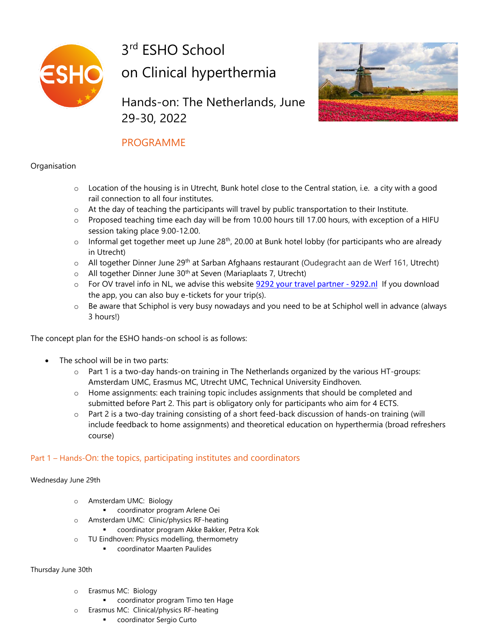

3<sup>rd</sup> ESHO School on Clinical hyperthermia

Hands-on: The Netherlands, June 29-30, 2022



# PROGRAMME

## **Organisation**

- o Location of the housing is in Utrecht, Bunk hotel close to the Central station, i.e. a city with a good rail connection to all four institutes.
- $\circ$  At the day of teaching the participants will travel by public transportation to their Institute.
- o Proposed teaching time each day will be from 10.00 hours till 17.00 hours, with exception of a HIFU session taking place 9.00-12.00.
- $\circ$  Informal get together meet up June 28<sup>th</sup>, 20.00 at Bunk hotel lobby (for participants who are already in Utrecht)
- $\circ$  All together Dinner June 29<sup>th</sup> at Sarban Afghaans restaurant (Oudegracht aan de Werf 161, Utrecht)
- $\circ$  All together Dinner June 30<sup>th</sup> at Seven (Mariaplaats 7, Utrecht)
- o For OV travel info in NL, we advise this website 9292 your travel [partner](https://eur04.safelinks.protection.outlook.com/?url=https%3A%2F%2F9292.nl%2Fen&data=05%7C01%7Cl.zuidmeer%40amsterdamumc.nl%7C54bdead09e2a43b07e7f08da506a1cd0%7C68dfab1a11bb4cc6beb528d756984fb6%7C0%7C0%7C637910713920085090%7CUnknown%7CTWFpbGZsb3d8eyJWIjoiMC4wLjAwMDAiLCJQIjoiV2luMzIiLCJBTiI6Ik1haWwiLCJXVCI6Mn0%3D%7C3000%7C%7C%7C&sdata=MDjMAR51tfFEKAx%2Bfl0rwconYO1Lvc5gdQSAUxXJLjY%3D&reserved=0) 9292.nl If you download the app, you can also buy e-tickets for your trip(s).
- $\circ$  Be aware that Schiphol is very busy nowadays and you need to be at Schiphol well in advance (always 3 hours!)

The concept plan for the ESHO hands-on school is as follows:

- The school will be in two parts:
	- o Part 1 is a two-day hands-on training in The Netherlands organized by the various HT-groups: Amsterdam UMC, Erasmus MC, Utrecht UMC, Technical University Eindhoven.
	- $\circ$  Home assignments: each training topic includes assignments that should be completed and submitted before Part 2. This part is obligatory only for participants who aim for 4 ECTS.
	- o Part 2 is a two-day training consisting of a short feed-back discussion of hands-on training (will include feedback to home assignments) and theoretical education on hyperthermia (broad refreshers course)

## Part 1 – Hands-On: the topics, participating institutes and coordinators

#### Wednesday June 29th

- o Amsterdam UMC: Biology
	- coordinator program Arlene Oei
- o Amsterdam UMC: Clinic/physics RF-heating
	- coordinator program Akke Bakker, Petra Kok
- o TU Eindhoven: Physics modelling, thermometry
	- coordinator Maarten Paulides

#### Thursday June 30th

- o Erasmus MC: Biology
	- coordinator program Timo ten Hage
- o Erasmus MC: Clinical/physics RF-heating
	- coordinator Sergio Curto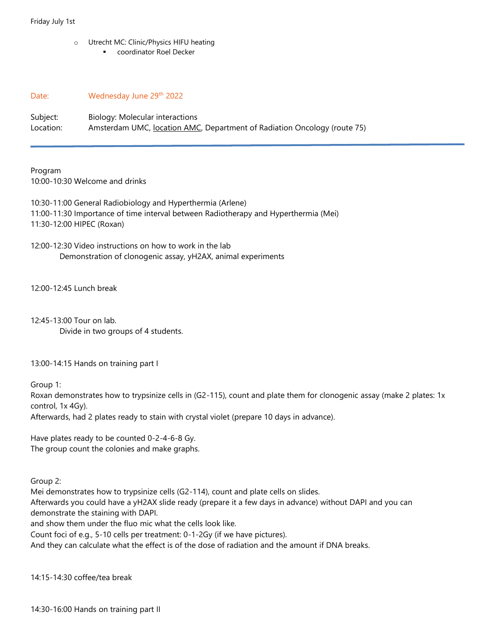o Utrecht MC: Clinic/Physics HIFU heating ■ coordinator Roel Decker

Date: Wednesday June 29th 2022

Subject: Biology: Molecular interactions Location: Amsterdam UMC, location AMC, Department of Radiation Oncology (route 75)

Program 10:00-10:30 Welcome and drinks

10:30-11:00 General Radiobiology and Hyperthermia (Arlene) 11:00-11:30 Importance of time interval between Radiotherapy and Hyperthermia (Mei) 11:30-12:00 HIPEC (Roxan)

12:00-12:30 Video instructions on how to work in the lab Demonstration of clonogenic assay, yH2AX, animal experiments

12:00-12:45 Lunch break

12:45-13:00 Tour on lab.

Divide in two groups of 4 students.

13:00-14:15 Hands on training part I

Group 1:

Roxan demonstrates how to trypsinize cells in (G2-115), count and plate them for clonogenic assay (make 2 plates: 1x control, 1x 4Gy).

Afterwards, had 2 plates ready to stain with crystal violet (prepare 10 days in advance).

Have plates ready to be counted 0-2-4-6-8 Gy. The group count the colonies and make graphs.

Group 2:

Mei demonstrates how to trypsinize cells (G2-114), count and plate cells on slides.

Afterwards you could have a yH2AX slide ready (prepare it a few days in advance) without DAPI and you can demonstrate the staining with DAPI.

and show them under the fluo mic what the cells look like.

Count foci of e.g., 5-10 cells per treatment: 0-1-2Gy (if we have pictures).

And they can calculate what the effect is of the dose of radiation and the amount if DNA breaks.

14:15-14:30 coffee/tea break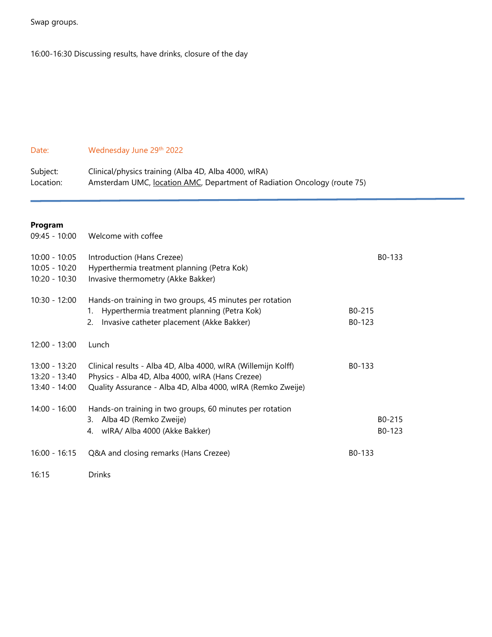Swap groups.

16:00-16:30 Discussing results, have drinks, closure of the day

# Date: Wednesday June 29<sup>th</sup> 2022

| Subject:  | Clinical/physics training (Alba 4D, Alba 4000, wIRA)                     |
|-----------|--------------------------------------------------------------------------|
| Location: | Amsterdam UMC, location AMC, Department of Radiation Oncology (route 75) |

# **Program**

| $09:45 - 10:00$                                   | Welcome with coffee                                                                                                                                                              |                  |
|---------------------------------------------------|----------------------------------------------------------------------------------------------------------------------------------------------------------------------------------|------------------|
| $10:00 - 10:05$<br>10:05 - 10:20<br>10:20 - 10:30 | Introduction (Hans Crezee)<br>Hyperthermia treatment planning (Petra Kok)<br>Invasive thermometry (Akke Bakker)                                                                  | B0-133           |
| $10:30 - 12:00$                                   | Hands-on training in two groups, 45 minutes per rotation<br>Hyperthermia treatment planning (Petra Kok)<br>1.<br>Invasive catheter placement (Akke Bakker)<br>2.                 | B0-215<br>B0-123 |
| $12:00 - 13:00$                                   | Lunch                                                                                                                                                                            |                  |
| 13:00 - 13:20<br>13:20 - 13:40<br>13:40 - 14:00   | Clinical results - Alba 4D, Alba 4000, wIRA (Willemijn Kolff)<br>Physics - Alba 4D, Alba 4000, wIRA (Hans Crezee)<br>Quality Assurance - Alba 4D, Alba 4000, wIRA (Remko Zweije) | B0-133           |
| 14:00 - 16:00                                     | Hands-on training in two groups, 60 minutes per rotation<br>3. Alba 4D (Remko Zweije)<br>wIRA/ Alba 4000 (Akke Bakker)<br>4.                                                     | B0-215<br>B0-123 |
| $16:00 - 16:15$                                   | Q&A and closing remarks (Hans Crezee)                                                                                                                                            | B0-133           |
| 16:15                                             | Drinks                                                                                                                                                                           |                  |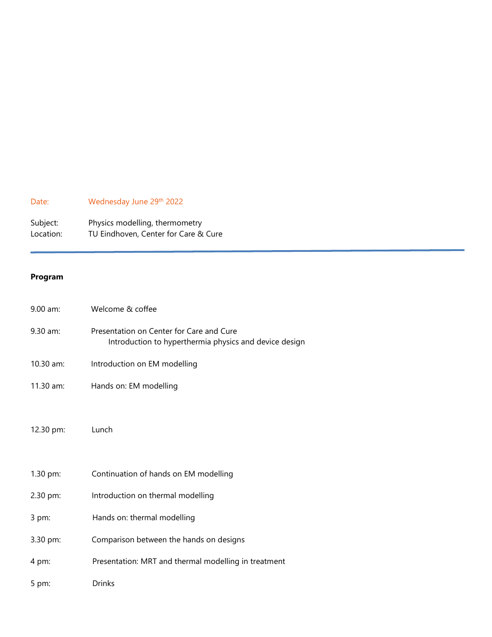# Date: Wednesday June 29<sup>th</sup> 2022

| Subject:  | Physics modelling, thermometry       |
|-----------|--------------------------------------|
| Location: | TU Eindhoven, Center for Care & Cure |

## **Program**

| $9.00$ am:  | Welcome & coffee                                                                                   |
|-------------|----------------------------------------------------------------------------------------------------|
| $9.30$ am:  | Presentation on Center for Care and Cure<br>Introduction to hyperthermia physics and device design |
| $10.30$ am: | Introduction on EM modelling                                                                       |
| 11.30 am:   | Hands on: EM modelling                                                                             |
|             |                                                                                                    |
| 12.30 pm:   | Lunch                                                                                              |
|             |                                                                                                    |
| 1.30 pm:    | Continuation of hands on EM modelling                                                              |
| 2.30 pm:    | Introduction on thermal modelling                                                                  |
| 3 pm:       | Hands on: thermal modelling                                                                        |
| 3.30 pm:    | Comparison between the hands on designs                                                            |
| 4 pm:       | Presentation: MRT and thermal modelling in treatment                                               |
| 5 pm:       | <b>Drinks</b>                                                                                      |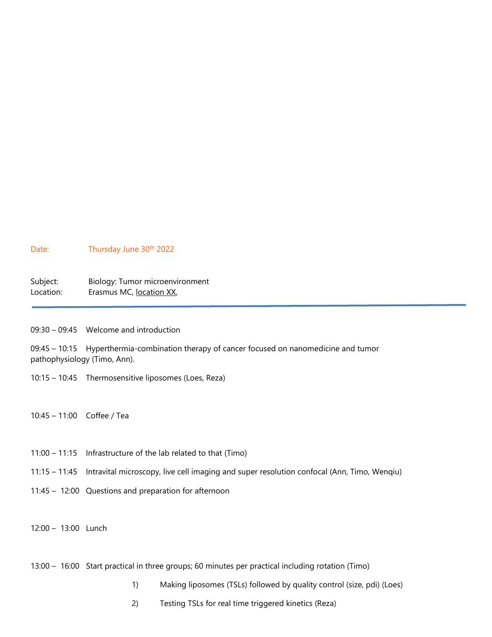#### Date: Thursday June 30<sup>th</sup> 2022

| Subject:  | Biology: Tumor microenvironment |
|-----------|---------------------------------|
| Location: | Erasmus MC, location XX,        |

09:30 – 09:45 Welcome and introduction

09:45 – 10:15 Hyperthermia-combination therapy of cancer focused on nanomedicine and tumor pathophysiology (Timo, Ann).

- 10:15 10:45 Thermosensitive liposomes (Loes, Reza)
- 10:45 11:00 Coffee / Tea
- 11:00 11:15 Infrastructure of the lab related to that (Timo)
- 11:15 11:45 Intravital microscopy, live cell imaging and super resolution confocal (Ann, Timo, Wenqiu)
- 11:45 12:00 Questions and preparation for afternoon
- 12:00 13:00 Lunch
- 13:00 16:00 Start practical in three groups; 60 minutes per practical including rotation (Timo)
	- 1) Making liposomes (TSLs) followed by quality control (size, pdi) (Loes)
	- 2) Testing TSLs for real time triggered kinetics (Reza)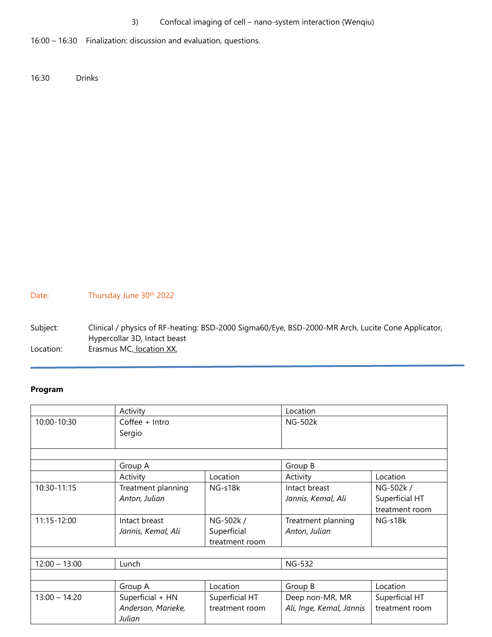3) Confocal imaging of cell – nano-system interaction (Wenqiu)

16:00 – 16:30 Finalization: discussion and evaluation, questions.

16:30 Drinks

Date: Thursday June 30<sup>th</sup> 2022

Subject: Clinical / physics of RF-heating: BSD-2000 Sigma60/Eye, BSD-2000-MR Arch, Lucite Cone Applicator, Hypercollar 3D, Intact beast Location: Erasmus MC, <u>location XX</u>,

### **Program**

|                 | Activity           |                | Location                 |                |
|-----------------|--------------------|----------------|--------------------------|----------------|
| 10:00-10:30     | $Coffee + Intro$   |                | <b>NG-502k</b>           |                |
|                 | Sergio             |                |                          |                |
|                 |                    |                |                          |                |
|                 |                    |                |                          |                |
|                 | Group A            |                | Group B                  |                |
|                 | Activity           | Location       | Activity                 | Location       |
| 10:30-11:15     | Treatment planning | NG-s18k        | Intact breast            | NG-502k /      |
|                 | Anton, Julian      |                | Jannis, Kemal, Ali       | Superficial HT |
|                 |                    |                |                          | treatment room |
| 11:15-12:00     | Intact breast      | NG-502k /      | Treatment planning       | NG-s18k        |
|                 | Jannis, Kemal, Ali | Superficial    | Anton, Julian            |                |
|                 |                    | treatment room |                          |                |
|                 |                    |                |                          |                |
| $12:00 - 13:00$ | Lunch              |                | <b>NG-532</b>            |                |
|                 |                    |                |                          |                |
|                 | Group A            | Location       | Group B                  | Location       |
| $13:00 - 14:20$ | Superficial + HN   | Superficial HT | Deep non-MR, MR          | Superficial HT |
|                 | Anderson, Marieke, | treatment room | Ali, Inge, Kemal, Jannis | treatment room |
|                 | Julian             |                |                          |                |